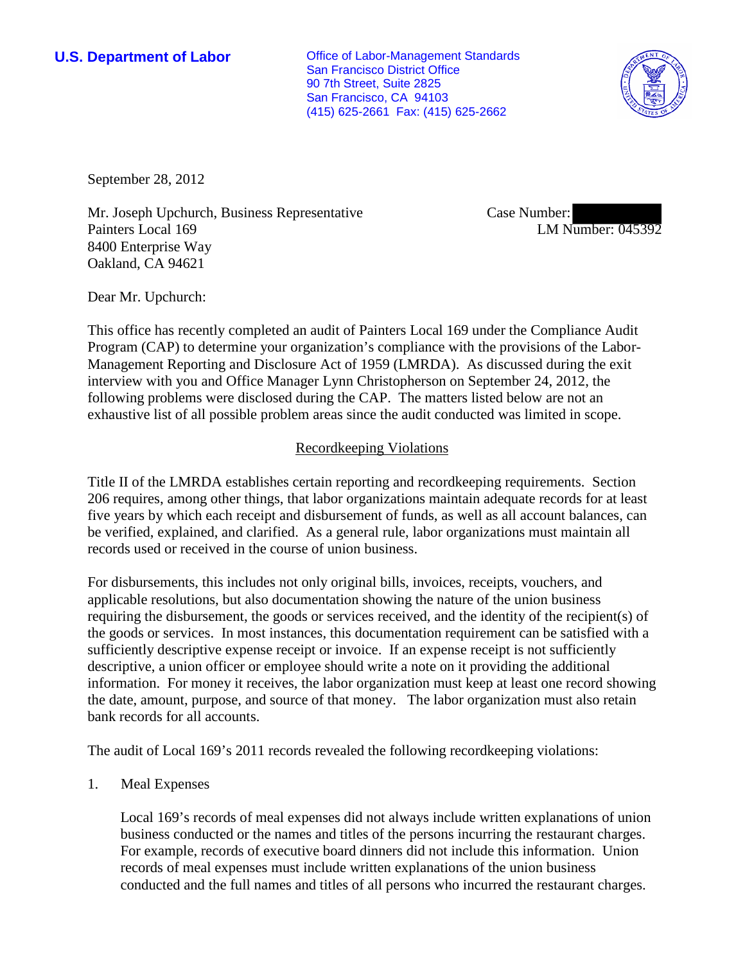**U.S. Department of Labor Office of Labor-Management Standards** San Francisco District Office 90 7th Street, Suite 2825 San Francisco, CA 94103 (415) 625-2661 Fax: (415) 625-2662



September 28, 2012

Mr. Joseph Upchurch, Business Representative Painters Local 169 8400 Enterprise Way Oakland, CA 94621

Case Number: LM Number: 045392

Dear Mr. Upchurch:

This office has recently completed an audit of Painters Local 169 under the Compliance Audit Program (CAP) to determine your organization's compliance with the provisions of the Labor-Management Reporting and Disclosure Act of 1959 (LMRDA). As discussed during the exit interview with you and Office Manager Lynn Christopherson on September 24, 2012, the following problems were disclosed during the CAP. The matters listed below are not an exhaustive list of all possible problem areas since the audit conducted was limited in scope.

## Recordkeeping Violations

Title II of the LMRDA establishes certain reporting and recordkeeping requirements. Section 206 requires, among other things, that labor organizations maintain adequate records for at least five years by which each receipt and disbursement of funds, as well as all account balances, can be verified, explained, and clarified. As a general rule, labor organizations must maintain all records used or received in the course of union business.

For disbursements, this includes not only original bills, invoices, receipts, vouchers, and applicable resolutions, but also documentation showing the nature of the union business requiring the disbursement, the goods or services received, and the identity of the recipient(s) of the goods or services. In most instances, this documentation requirement can be satisfied with a sufficiently descriptive expense receipt or invoice. If an expense receipt is not sufficiently descriptive, a union officer or employee should write a note on it providing the additional information. For money it receives, the labor organization must keep at least one record showing the date, amount, purpose, and source of that money. The labor organization must also retain bank records for all accounts.

The audit of Local 169's 2011 records revealed the following recordkeeping violations:

## 1. Meal Expenses

Local 169's records of meal expenses did not always include written explanations of union business conducted or the names and titles of the persons incurring the restaurant charges. For example, records of executive board dinners did not include this information. Union records of meal expenses must include written explanations of the union business conducted and the full names and titles of all persons who incurred the restaurant charges.